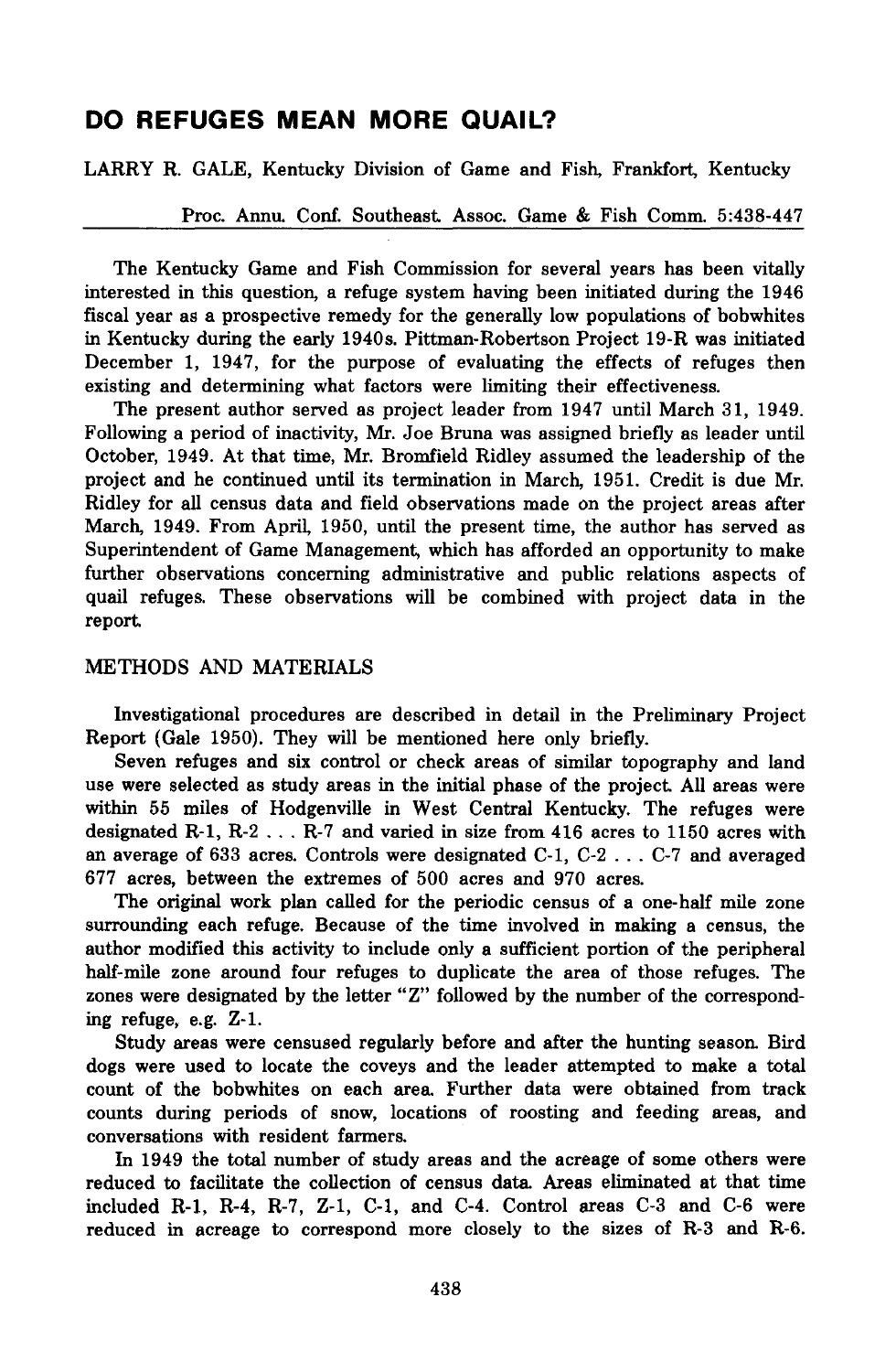# **DO REFUGES MEAN MORE QUAIL?**

LARRY R. GALE, Kentucky Division of Game and Fish, Frankfort, Kentucky

Proc. Annu. Conf. Southeast. Assoc. Game & Fish Comm. 5:438-447

The Kentucky Game and Fish Commission for several years has been vitally interested in this question, a refuge system having been initiated during the 1946 fiscal year as a prospective remedy for the generally low populations of bobwhites in Kentucky during the early 1940s. Pittman-Robertson Project 19-R was initiated December 1, 1947, for the purpose of evaluating the effects of refuges then existing and determining what factors were limiting their effectiveness.

The present author served as project leader from 1947 until March 31, 1949. Following a period of inactivity, Mr. Joe Bruna was assigned briefly as leader until October, 1949. At that time, Mr. Bromfield Ridley assumed the leadership of the project and he continued until its termination in March, 1951. Credit is due Mr. Ridley for all census data and field observations made on the project areas after March, 1949. From April, 1950, until the present time, the author has served as Superintendent of Game Management, which has afforded an opportunity to make further observations concerning administrative and public relations aspects of quail refuges. These observations will be combined with project data in the report.

# METHODS AND MATERIALS

Investigational procedures are described in detail in the Preliminary Project Report (Gale 1950). They will be mentioned here only briefly.

Seven refuges and six control or check areas of similar topography and land use were selected as study areas in the initial phase of the project. All areas were within 55 miles of Hodgenville in West Central Kentucky. The refuges were designated R-1, R-2 ... R-7 and varied in size from <sup>416</sup> acres to <sup>1150</sup> acres with an average of <sup>633</sup> acres. Controls were designated C-1, C-2 ... C-7 and averaged 677 acres, between the extremes of 500 acres and 970 acres.

The original work plan called for the periodic census of a one-half mile zone surrounding each refuge. Because of the time involved in making a census, the author modified this activity to include only a sufficient portion of the peripheral half-mile zone around four refuges to duplicate the area of those refuges. The zones were designated by the letter "Z" followed by the number of the corresponding refuge, e.g. Z-1.

Study areas were censused regularly before and after the hunting season Bird dogs were used to locate the coveys and the leader attempted to make a total count of the bobwhites on each area. Further data were obtained from track counts during periods of snow, locations of roosting and feeding areas, and conversations with resident farmers.

In 1949 the total number of study areas and the acreage of some others were reduced to facilitate the collection of census data. Areas eliminated at that time included R-1, R-4, R-7, Z-l, C-1, and C-4. Control areas C-3 and C-6 were reduced in acreage to correspond more closely to the sizes of R-3 and R-6.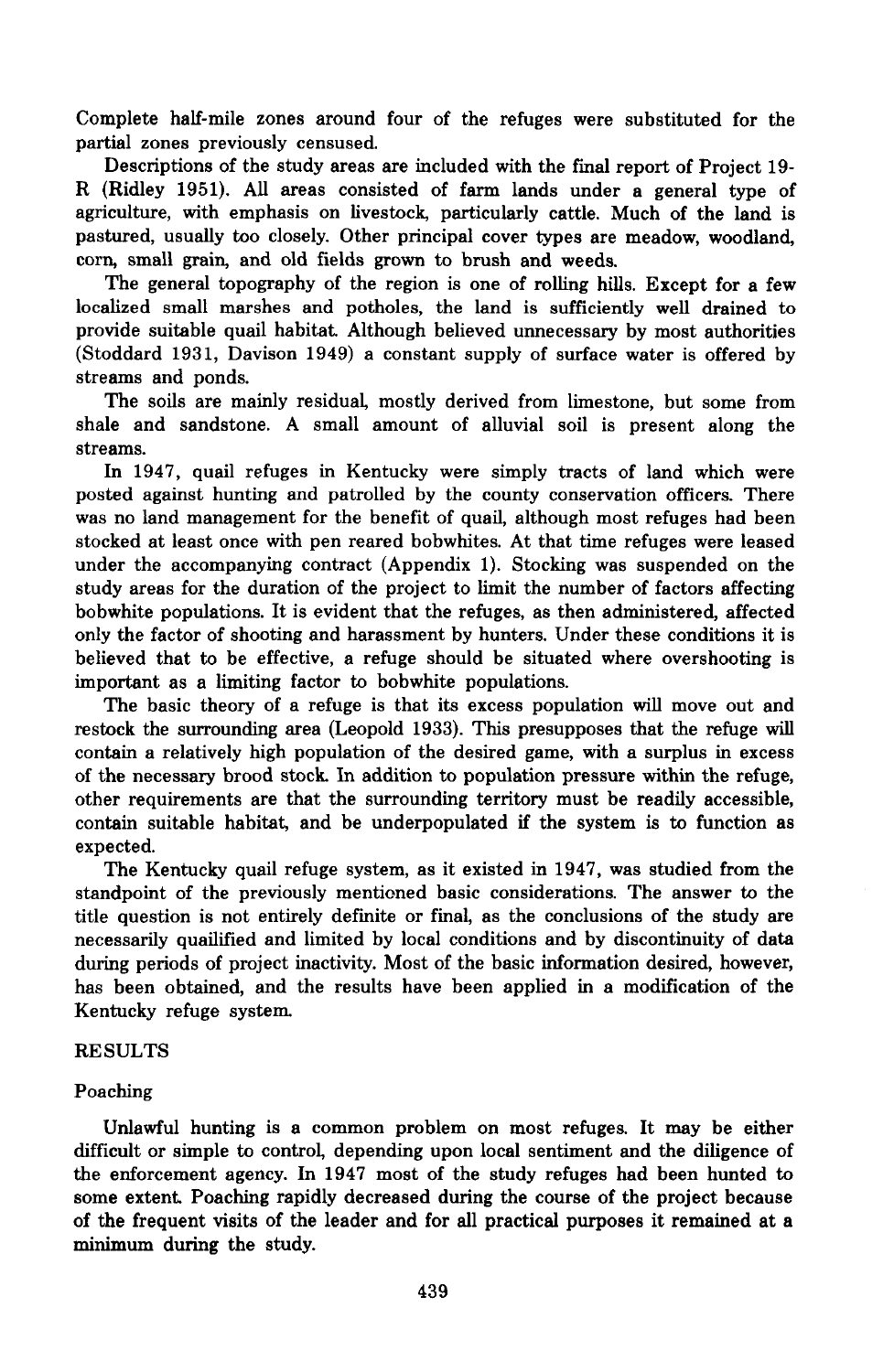Complete half-mile zones around four of the refuges were substituted for the partial zones previously censused.

Descriptions of the study areas are included with the fmal report of Project 19- R (Ridley 1951). All areas consisted of farm lands under a general type of agriculture, with emphasis on livestock, particularly cattle. Much of the land is pastured, usually too closely. Other principal cover types are meadow, woodland, corn, small grain, and old fields grown to brush and weeds.

The general topography of the region is one of rolling hills. Except for a few localized small marshes and potholes, the land is sufficiently well drained to provide suitable quail habitat. Although believed unnecessary by most authorities (Stoddard 1931, Davison 1949) a constant supply of surface water is offered by streams and ponds.

The soils are mainly residual, mostly derived from limestone, but some from shale and sandstone. A small amount of alluvial soil is present along the streams.

In 1947, quail refuges in Kentucky were simply tracts of land which were posted against hunting and patrolled by the county conservation officers. There was no land management for the benefit of quail, although most refuges had been stocked at least once with pen reared bobwhites. At that time refuges were leased under the accompanying contract (Appendix 1). Stocking was suspended on the study areas for the duration of the project to limit the number of factors affecting bobwhite populations. It is evident that the refuges, as then administered, affected only the factor of shooting and harassment by hunters. Under these conditions it is believed that to be effective, a refuge should be situated where overshooting is important as a limiting factor to bobwhite populations.

The basic theory of a refuge is that its excess population will move out and restock the surrounding area (Leopold 1933). This presupposes that the refuge will contain a relatively high population of the desired game, with a surplus in excess of the necessary brood stock. In addition to population pressure within the refuge, other requirements are that the surrounding territory must be readily accessible, contain suitable habitat, and be underpopulated if the system is to function as expected.

The Kentucky quail refuge system, as it existed in 1947, was studied from the standpoint of the previously mentioned basic considerations. The answer to the title question is not entirely definite or final, as the conclusions of the study are necessarily quailified and limited by local conditions and by discontinuity of data during periods of project inactivity. Most of the basic information desired, however, has been obtained, and the results have been applied in a modification of the Kentucky refuge system.

#### RESULTS

## Poaching

Unlawful hunting is a common problem on most refuges. It may be either difficult or simple to control, depending upon local sentiment and the diligence of the enforcement agency. In 1947 most of the study refuges had been hunted to some extent. Poaching rapidly decreased during the course of the project because of the frequent visits of the leader and for all practical purposes it remained at a minimum during the study.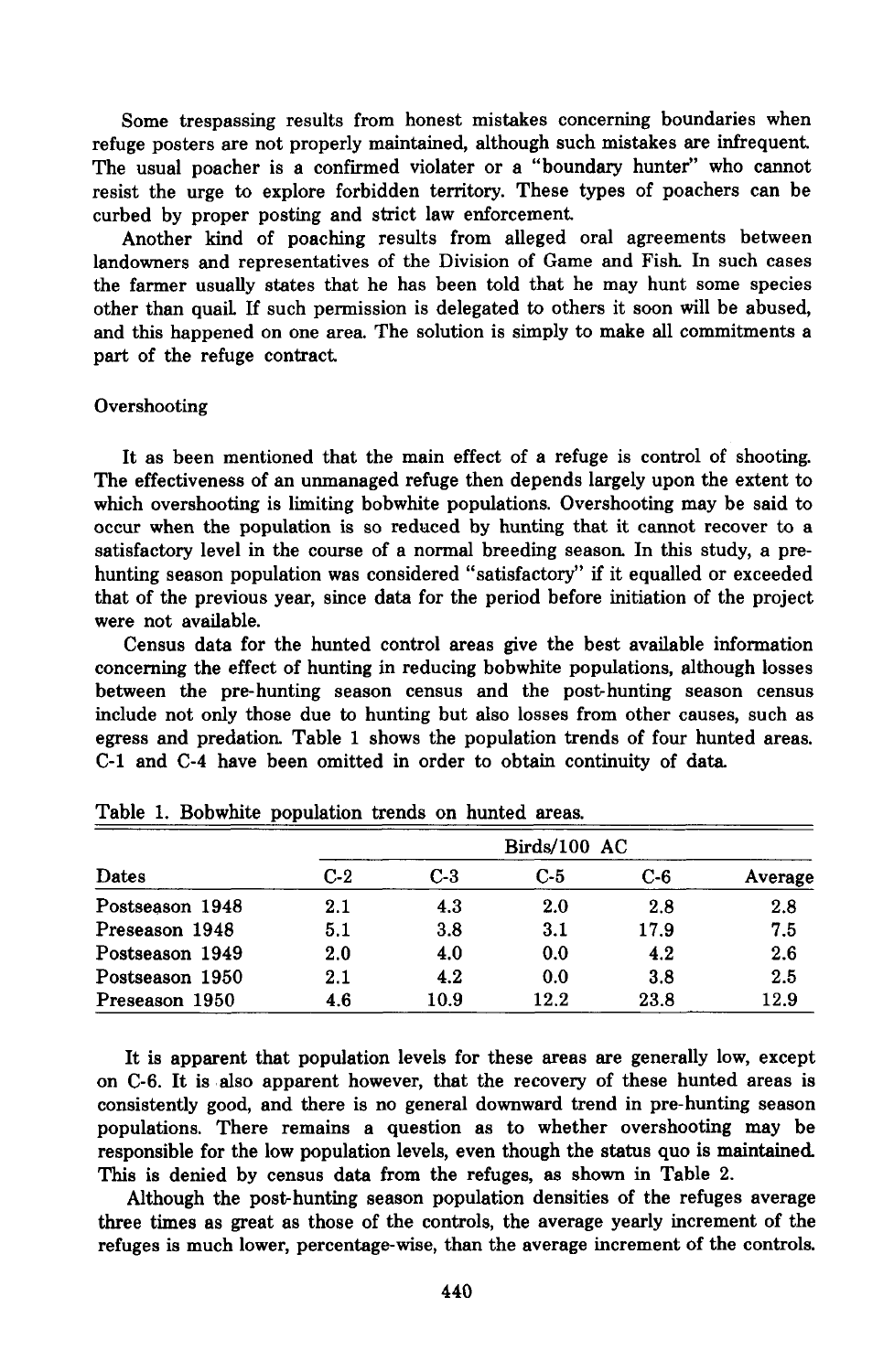Some trespassing results from honest mistakes concerning boundaries when refuge posters are not properly maintained, although such mistakes are infrequent. The usual poacher is a confirmed violater or a "boundary hunter" who cannot resist the urge to explore forbidden territory. These types of poachers can be curbed by proper posting and strict law enforcement.

Another kind of poaching results from alleged oral agreements between landowners and representatives of the Division of Game and Fish. In such cases the farmer usually states that he has been told that he may hunt some species other than quail If such permission is delegated to others it soon will be abused, and this happened on one area. The solution is simply to make all commitments a part of the refuge contract.

#### **Overshooting**

It as been mentioned that the main effect of a refuge is control of shooting. The effectiveness of an unmanaged refuge then depends largely upon the extent to which overshooting is limiting bobwhite populations. Overshooting may be said to occur when the population is so reduced by hunting that it cannot recover to a satisfactory level in the course of a normal breeding season. In this study, a prehunting season population was considered "satisfactory" if it equalled or exceeded that of the previous year, since data for the period before initiation of the project were not available.

Census data for the hunted control areas give the best available information concerning the effect of hunting in reducing bobwhite populations, although losses between the pre-hunting season census and the post-hunting season census include not only those due to hunting but also losses from other causes, such as egress and predation. Table 1 shows the population trends of four hunted areas. C-l and C-4 have been omitted in order to obtain continuity of data

| Dates           | $C-2$ | C-3  | C-5  | $C-6$ | Average |
|-----------------|-------|------|------|-------|---------|
| Postseason 1948 | 2.1   | 4.3  | 2.0  | 2.8   | 2.8     |
| Preseason 1948  | 5.1   | 3.8  | 3.1  | 17.9  | 7.5     |
| Postseason 1949 | 2.0   | 4.0  | 0.0  | 4.2   | 2.6     |
| Postseason 1950 | 2.1   | 4.2  | 0.0  | 3.8   | 2.5     |
| Preseason 1950  | 4.6   | 10.9 | 12.2 | 23.8  | 12.9    |

|  |  |  |  | Table 1. Bobwhite population trends on hunted areas. |  |  |  |  |
|--|--|--|--|------------------------------------------------------|--|--|--|--|
|--|--|--|--|------------------------------------------------------|--|--|--|--|

It is apparent that population levels for these areas are generally low, except on C-6. It is also apparent however, that the recovery of these hunted areas is consistently good, and there is no general downward trend in pre-hunting season populations. There remains a question as to whether overshooting may be responsible for the low population levels, even though the status quo is maintained This is denied by census data from the refuges, as shown in Table 2.

Although the post-hunting season population densities of the refuges average three times as great as those of the controls, the average yearly increment of the refuges is much lower, percentage-wise, than the average increment of the controls.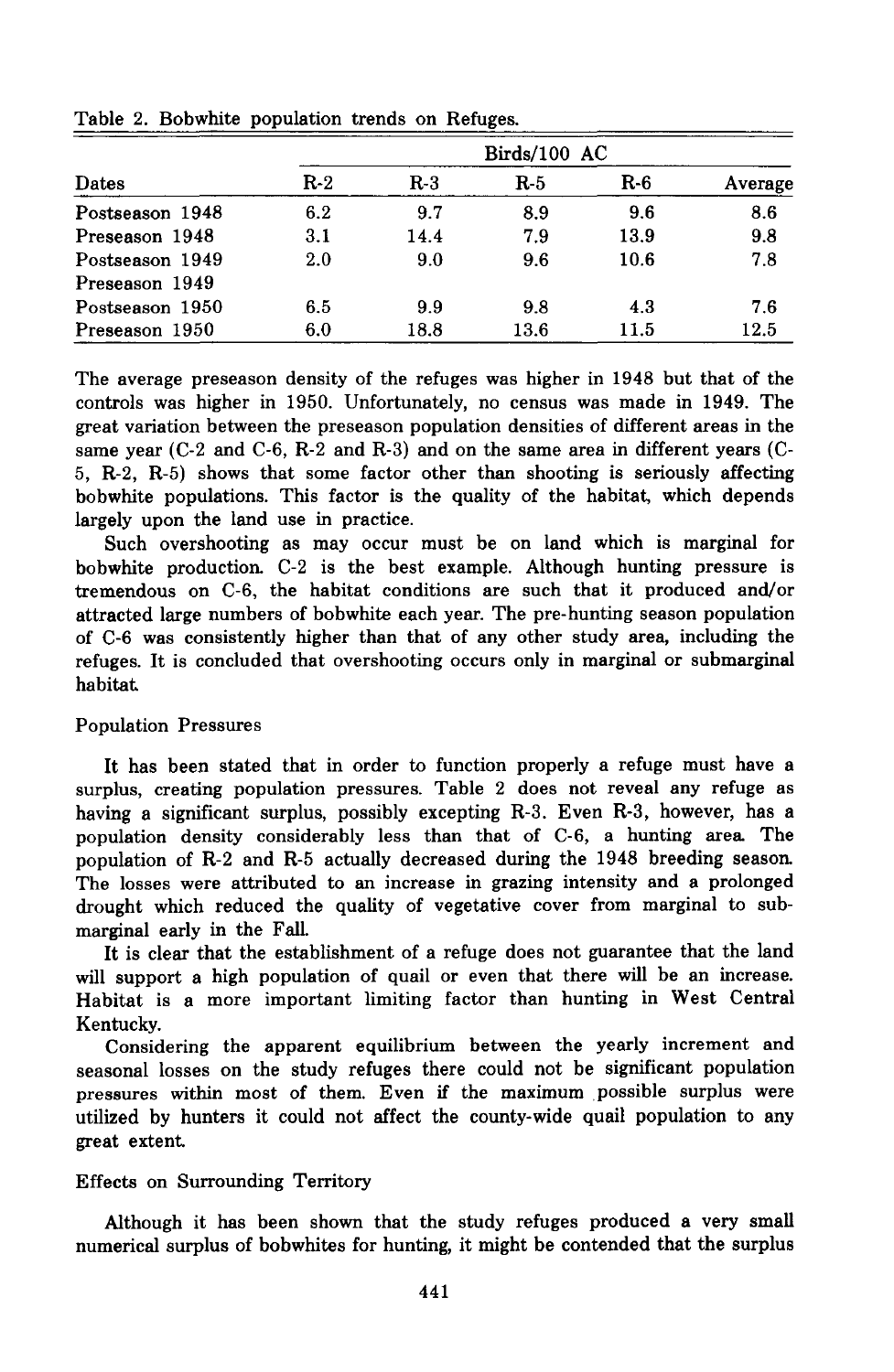| Dates           | Birds/100 AC |       |       |       |         |  |  |
|-----------------|--------------|-------|-------|-------|---------|--|--|
|                 | $R-2$        | $R-3$ | $R-5$ | $R-6$ | Average |  |  |
| Postseason 1948 | 6.2          | 9.7   | 8.9   | 9.6   | 8.6     |  |  |
| Preseason 1948  | 3.1          | 14.4  | 7.9   | 13.9  | 9.8     |  |  |
| Postseason 1949 | 2.0          | 9.0   | 9.6   | 10.6  | 7.8     |  |  |
| Preseason 1949  |              |       |       |       |         |  |  |
| Postseason 1950 | 6.5          | 9.9   | 9.8   | 4.3   | 7.6     |  |  |
| Preseason 1950  | 6.0          | 18.8  | 13.6  | 11.5  | 12.5    |  |  |

Table 2. Bobwhite population trends on Refuges.

The average preseason density of the refuges was higher in 1948 but that of the controls was higher in 1950. Unfortunately, no census was made in 1949. The great variation between the preseason population densities of different areas in the same year  $(C-2$  and  $C-6$ ,  $R-2$  and  $R-3$ ) and on the same area in different years  $(C-2)$ 5, R-2, R-5) shows that some factor other than shooting is seriously affecting bobwhite populations. This factor is the quality of the habitat, which depends largely upon the land use in practice.

Such overshooting as may occur must be on land which is marginal for bobwhite production. C-2 is the best example. Although hunting pressure is tremendous on C-6, the habitat conditions are such that it produced and/or attracted large numbers of bobwhite each year. The pre-hunting season population of C-6 was consistently higher than that of any other study area, including the refuges. It is concluded that overshooting occurs only in marginal or submarginal habitat

#### Population Pressures

It has been stated that in order to function properly a refuge must have a surplus, creating population pressures. Table 2 does not reveal any refuge as having a significant surplus, possibly excepting R-3. Even R-3, however, has a population density considerably less than that of C-6, a hunting area The population of R-2 and R-5 actually decreased during the 1948 breeding season. The losses were attributed to an increase in grazing intensity and a prolonged drought which reduced the quality of vegetative cover from marginal to submarginal early in the FalL

It is clear that the establishment of a refuge does not guarantee that the land will support a high population of quail or even that there will be an increase. Habitat is a more important limiting factor than hunting in West Central Kentucky.

Considering the apparent equilibrium between the yearly increment and seasonal losses on the study refuges there could not be significant population pressures within most of them. Even if the maximum ,possible surplus were utilized by hunters it could not affect the county-wide quail population to any great extent

#### Effects on Surrounding Territory

Although it has been shown that the study refuges produced a very small numerical surplus of bobwhites for hunting, it might be contended that the surplus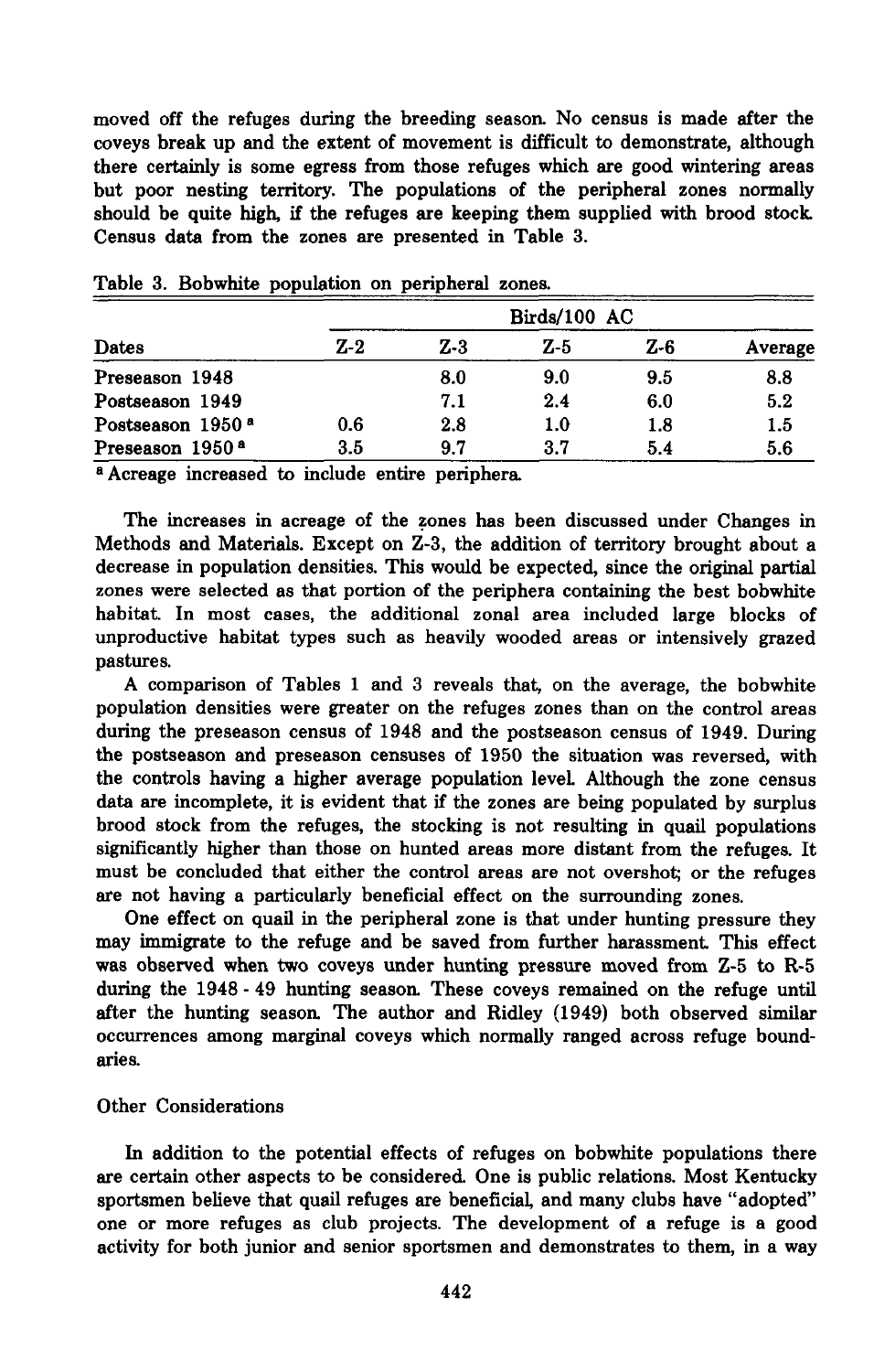moved off the refuges during the breeding season. No census is made after the coveys break up and the extent of movement is difficult to demonstrate, although there certainly is some egress from those refuges which are good wintering areas but poor nesting territory. The populations of the peripheral zones normally should be quite high, if the refuges are keeping them supplied with brood stock. Census data from the zones are presented in Table 3.

| Dates                        | Birds/100 AC |       |     |     |         |  |
|------------------------------|--------------|-------|-----|-----|---------|--|
|                              | Z-2          | $Z-3$ | Z-5 | Z-6 | Average |  |
| Preseason 1948               |              | 8.0   | 9.0 | 9.5 | 8.8     |  |
| Postseason 1949              |              | 7.1   | 2.4 | 6.0 | 5.2     |  |
| Postseason 1950 <sup>a</sup> | 0.6          | 2.8   | 1.0 | 1.8 | 1.5     |  |
| Preseason 1950 <sup>a</sup>  | 3.5          | 9.7   | 3.7 | 5.4 | 5.6     |  |

Table 3. Bobwhite population on peripheral zones.

a Acreage increased to include entire periphera.

The increases in acreage of the zones has been discussed under Changes in Methods and Materials. Except on Z-3, the addition of territory brought about a decrease in population densities. This would be expected, since the original partial zones were selected as that portion of the periphera containing the best bobwhite habitat. In most cases, the additional zonal area included large blocks of unproductive habitat types such as heavily wooded areas or intensively grazed pastures.

A comparison of Tables 1 and 3 reveals that, on the average, the bobwhite population densities were greater on the refuges zones than on the control areas during the preseason census of 1948 and the postseason census of 1949. During the postseason and preseason censuses of 1950 the situation was reversed, with the controls having a higher average population level Although the zone census data are incomplete, it is evident that if the zones are being populated by surplus brood stock from the refuges, the stocking is not resulting in quail populations significantly higher than those on hunted areas more distant from the refuges. It must be concluded that either the control areas are not overshot; or the refuges are not having a particularly beneficial effect on the surrounding zones.

One effect on quail in the peripheral zone is that under hunting pressure they may immigrate to the refuge and be saved from further harassment. This effect was observed when two coveys under hunting pressure moved from Z-5 to R-5 during the 1948 - 49 hunting season. These coveys remained on the refuge until after the hunting season. The author and Ridley (1949) both observed similar occurrences among marginal coveys which normally ranged across refuge boundaries.

## Other Considerations

In addition to the potential effects of refuges on bobwhite populations there are certain other aspects to be considered One is public relations. Most Kentucky sportsmen believe that quail refuges are beneficial, and many clubs have "adopted" one or more refuges as club projects. The development of a refuge is a good activity for both junior and senior sportsmen and demonstrates to them, in a way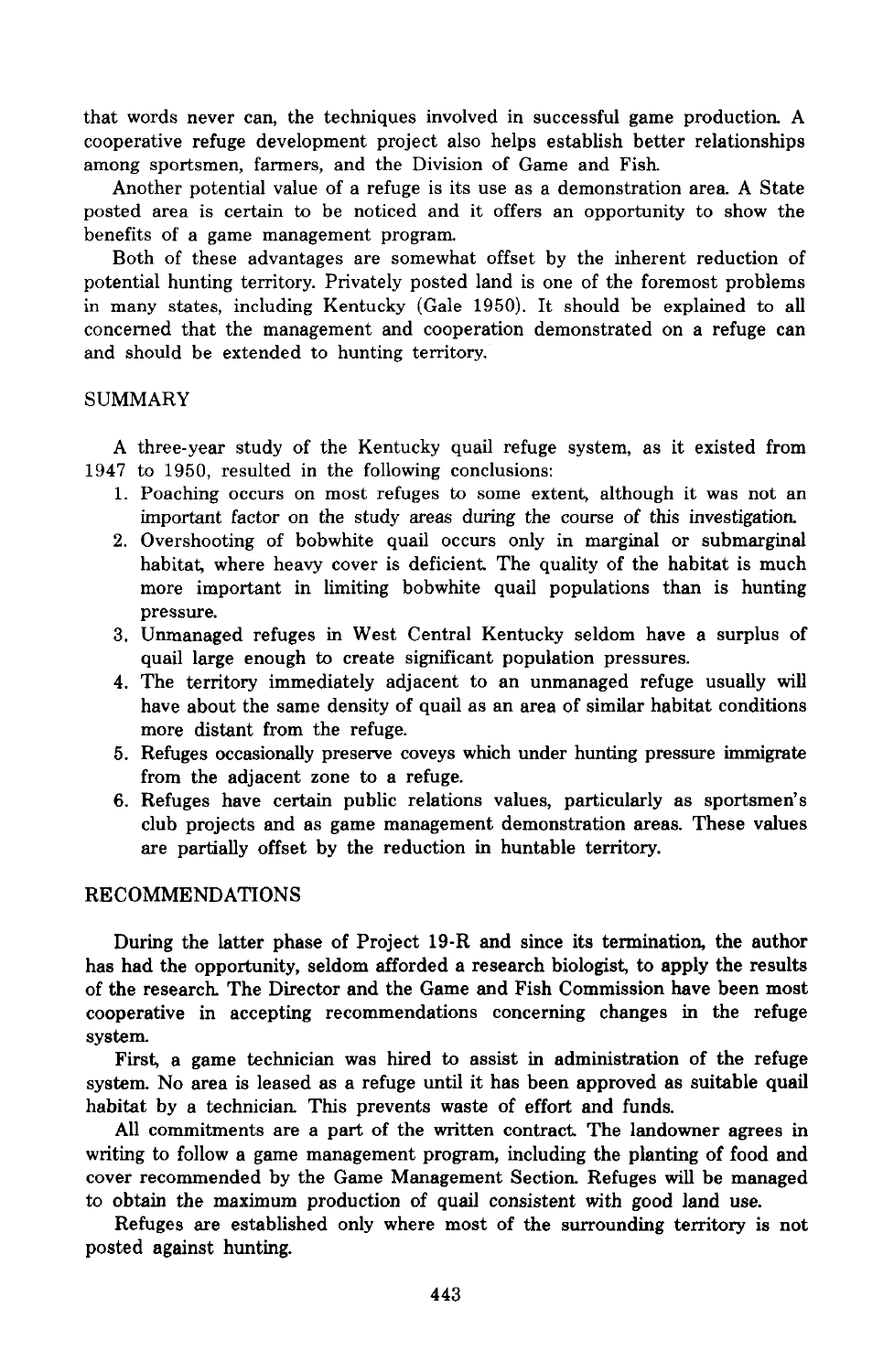that words never can, the techniques involved in successful game production. A cooperative refuge development project also helps establish better relationships among sportsmen, farmers, and the Division of Game and Fish.

Another potential value of a refuge is its use as a demonstration area. A State posted area is certain to be noticed and it offers an opportunity to show the benefits of a game management program.

Both of these advantages are somewhat offset by the inherent reduction of potential hunting territory. Privately posted land is one of the foremost problems in many states, including Kentucky (Gale 1950). It should be explained to all concerned that the management and cooperation demonstrated on a refuge can and should be extended to hunting territory.

## SUMMARY

A three-year study of the Kentucky quail refuge system, as it existed from 1947 to 1950, resulted in the following conclusions:

- 1. Poaching occurs on most refuges to some extent, although it was not an important factor on the study areas during the course of this investigation.
- 2. Overshooting of bobwhite quail occurs only in marginal or submarginal habitat, where heavy cover is deficient The quality of the habitat is much more important in limiting bobwhite quail populations than is hunting pressure.
- 3. Unmanaged refuges in West Central Kentucky seldom have a surplus of quail large enough to create significant population pressures.
- 4. The territory immediately adjacent to an unmanaged refuge usually will have about the same density of quail as an area of similar habitat conditions more distant from the refuge.
- 5. Refuges occasionally preserve coveys which under hunting pressure immigrate from the adjacent zone to a refuge.
- 6. Refuges have certain public relations values, particularly as sportsmen's club projects and as game management demonstration areas. These values are partially offset by the reduction in huntable territory.

## RECOMMENDATIONS

During the latter phase of Project 19-R and since its termination, the author has had the opportunity, seldom afforded a research biologist, to apply the results of the research. The Director and the Game and Fish Commission have been most cooperative in accepting recommendations concerning changes in the refuge system.

First, a game technician was hired to assist in administration of the refuge system. No area is leased as a refuge until it has been approved as suitable quail habitat by a technician. This prevents waste of effort and funds.

All commitments are a part of the written contract The landowner agrees in writing to follow a game management program, including the planting of food and cover recommended by the Game Management Section. Refuges will be managed to obtain the maximum production of quail consistent with good land use.

Refuges are established only where most of the surrounding territory is not posted against hunting.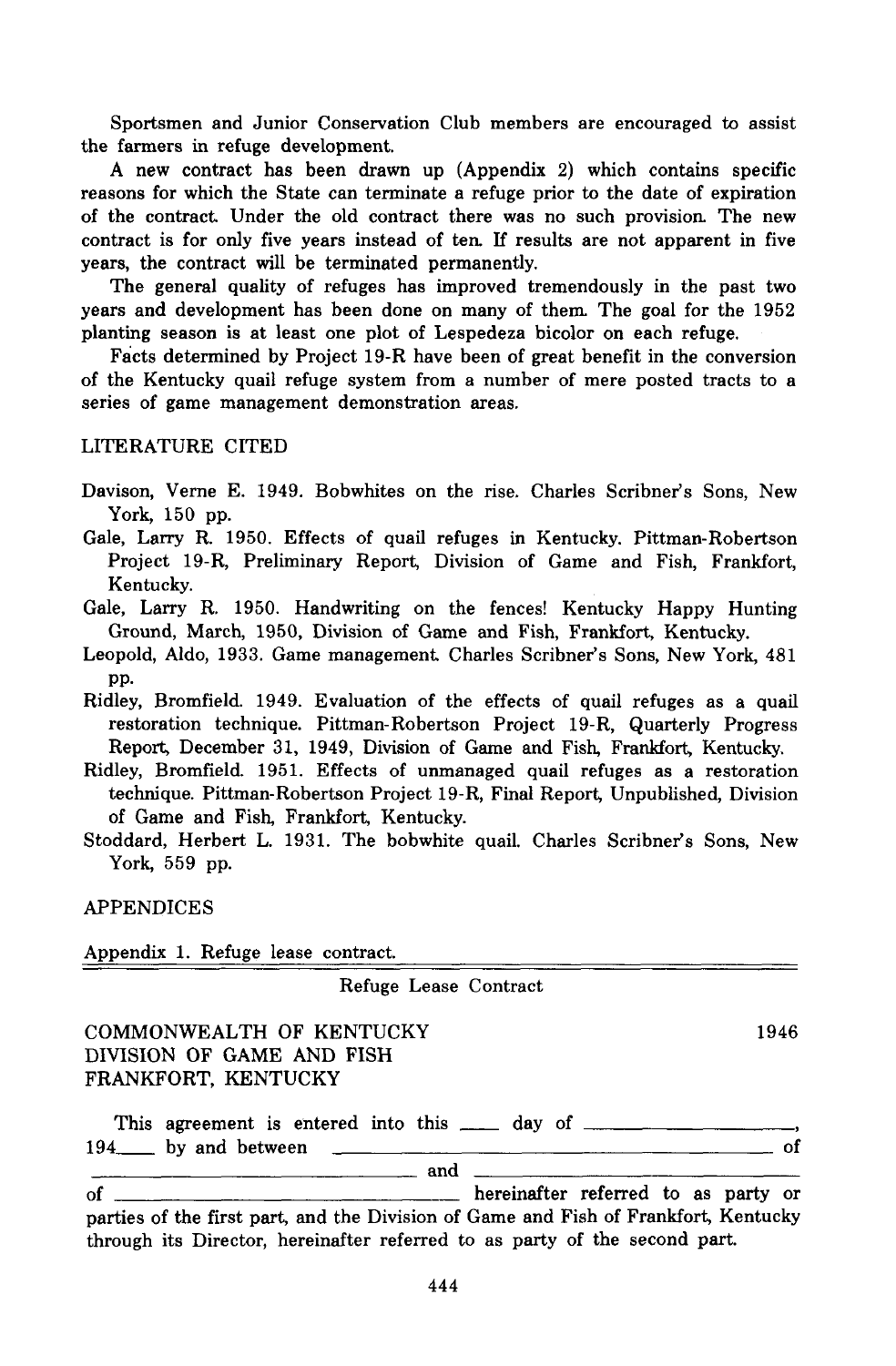Sportsmen and Junior Conservation Club members are encouraged to assist the farmers in refuge development.

A new contract has been drawn up (Appendix 2) which contains specific reasons for which the State can terminate a refuge prior to the date of expiration of the contract. Under the old contract there was no such provision. The new contract is for only five years instead of ten. If results are not apparent in five years, the contract will be terminated permanently.

The general quality of refuges has improved tremendously in the past two years and development has been done on many of them The goal for the 1952 planting season is at least one plot of Lespedeza bicolor on each refuge.

Facts determined by Project 19-R have been of great benefit in the conversion of the Kentucky quail refuge system from a number of mere posted tracts to a series of game management demonstration areas.

LITERATURE CITED

- Davison, Verne E. 1949. Bobwhites on the rise. Charles Scribner's Sons, New York, 150 pp.
- Gale, Larry R. 1950. Effects of quail refuges in Kentucky. Pittman-Robertson Project 19-R, Preliminary Report, Division of Game and Fish, Frankfort, Kentucky.
- Gale, Larry R. 1950. Handwriting on the fences! Kentucky Happy Hunting Ground, March, 1950, Division of Game and Fish, Frankfort, Kentucky.
- Leopold, Aldo, 1933. Game management Charles Scribner's Sons, New York, 481 pp.
- Ridley, Bromfield. 1949. Evaluation of the effects of quail refuges as a quail restoration technique. Pittman-Robertson Project 19-R, Quarterly Progress Report, December 31, 1949, Division of Game and Fish, Frankfort, Kentucky.
- Ridley, Bromfield. 1951. Effects of unmanaged quail refuges as a restoration technique. Pittman-Robertson Project 19-R, Final Report, Unpublished, Division of Game and Fish, Frankfort, Kentucky.
- Stoddard, Herbert L. 1931. The bobwhite quail. Charles Scribner's Sons, New York, 559 pp.

APPENDICES

Appendix 1. Refuge lease contract.

Refuge Lease Contract

1946

COMMONWEALTH OF KENTUCKY DIVISION OF GAME AND FISH FRANKFORT, KENTUCKY

This agreement is entered into this  $\frac{1}{\sqrt{1-\frac{1}{n}}}$  day of  $\frac{1}{\sqrt{1-\frac{1}{n}}}$  of 194\_\_ by and between \_\_\_\_\_\_\_\_\_\_\_\_\_\_\_ and

of hereinafter referred to as party or parties of the first part, and the Division of Game and Fish of Frankfort, Kentucky through its Director, hereinafter referred to as party of the second part.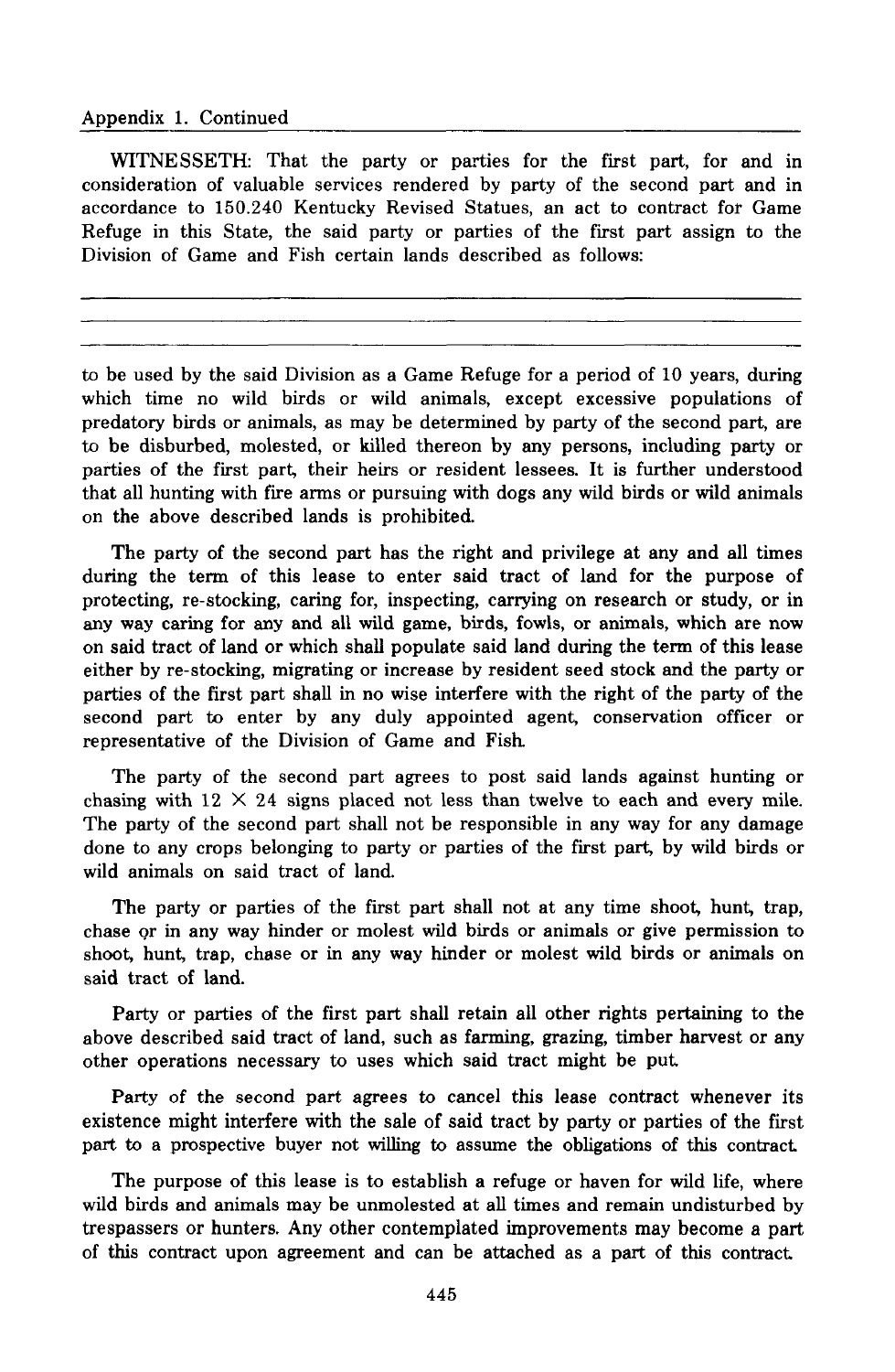#### Appendix 1. Continued

WITNESSETH: That the party or parties for the first part, for and in consideration of valuable services rendered by party of the second part and in accordance to 150.240 Kentucky Revised Statues, an act to contract fot Game Refuge in this State, the said party or parties of the first part assign to the Division of Game and Fish certain lands described as follows:

to be used by the said Division as a Game Refuge for a period of 10 years, during which time no wild birds or wild animals, except excessive populations of predatory birds or animals, as may be determined by party of the second part, are to be disburbed, molested, or killed thereon by any persons, including party or parties of the first part, their heirs or resident lessees. It is further understood that all hunting with fire arms or pursuing with dogs any wild birds or wild animals on the above described lands is prohibited.

The party of the second part has the right and privilege at any and all times during the term of this lease to enter said tract of land for the purpose of protecting, re-stocking, caring for, inspecting, carrying on research or study, or in any way caring for any and all wild game, birds, fowls, or animals, which are now on said tract of land or which shall populate said land during the term of this lease either by re-stocking, migrating or increase by resident seed stock and the party or parties of the first part shall in no wise interfere with the right of the party of the second part to enter by any duly appointed agent, conservation officer or representative of the Division of Game and Fish.

The party of the second part agrees to post said lands against hunting or chasing with  $12 \times 24$  signs placed not less than twelve to each and every mile. The party of the second part shall not be responsible in any way for any damage done to any crops belonging to party or parties of the first part, by wild birds or wild animals on said tract of land.

The party or parties of the first part shall not at any time shoot, hunt, trap, chase Qr in any way hinder or molest wild birds or animals or give permission to shoot, hunt, trap, chase or in any way hinder or molest wild birds or animals on said tract of land.

Party or parties of the first part shall retain all other rights pertaining to the above described said tract of land, such as farming, grazing, timber harvest or any other operations necessary to uses which said tract might be put

Party of the second part agrees to cancel this lease contract whenever its existence might interfere with the sale of said tract by party or parties of the first part to a prospective buyer not willing to assume the obligations of this contract

The purpose of this lease is to establish a refuge or haven for wild life, where wild birds and animals may be unmolested at all times and remain undisturbed by trespassers or hunters. Any other contemplated improvements may become a part of this contract upon agreement and can be attached as a part of this contract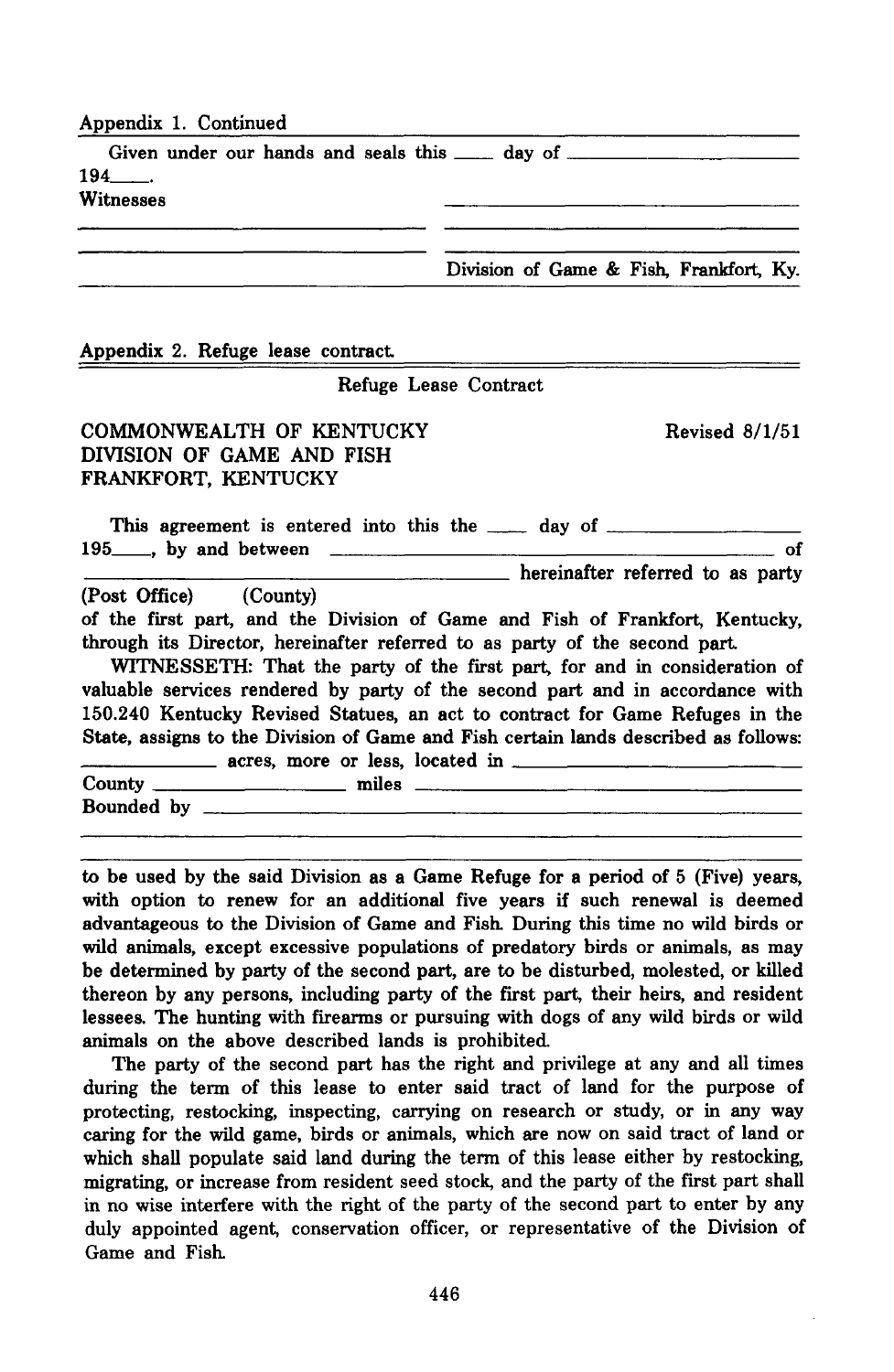| Appendix 1. Continued       |                                         |
|-----------------------------|-----------------------------------------|
| $194$ $\qquad$<br>Witnesses |                                         |
|                             | Division of Game & Fish, Frankfort, Ky. |

## Appendix 2. Refuge lease contract.

### Refuge Lease Contract

# COMMONWEALTH OF KENTUCKY DIVISION OF GAME AND FISH FRANKFORT, KENTUCKY

Revised 8/1/51

| This agreement is entered into this the <u>each</u> day of <u>each</u><br>$195$ , by and between |  |                                  |  | оf |
|--------------------------------------------------------------------------------------------------|--|----------------------------------|--|----|
|                                                                                                  |  | hereinafter referred to as party |  |    |

(Post Office) (County)

of the first part, and the Division of Game and Fish of Frankfort, Kentucky, through its Director, hereinafter referred to as party of the second part.

WITNESSETH: That the party of the first part, for and in consideration of valuable services rendered by party of the second part and in accordance with 150.240 Kentucky Revised Statues, an act to contract for Game Refuges in the State, assigns to the Division of Game and Fish certain lands described as follows:<br>acres, more or less, located in

| County $\_\_$ | miles |  |  |
|---------------|-------|--|--|
| Bounded by    |       |  |  |
|               |       |  |  |

to be used by the said Division as a Game Refuge for a period of 5 (Five) years, with option to renew for an additional five years if such renewal is deemed advantageous to the Division of Game and Fish. During this time no wild birds or wild animals, except excessive populations of predatory birds or animals, as may be determined by party of the second part, are to be disturbed, molested, or killed thereon by any persons, including party of the fIrst part, their heirs, and resident lessees. The hunting with firearms or pursuing with dogs of any wild birds or wild animals on the above described lands is prohibited

The party of the second part has the right and privilege at any and all times during the term of this lease to enter said tract of land for the purpose of protecting, restocking, inspecting, carrying on research or study, or in any way caring for the wild game, birds or animals, which are now on said tract of land or which shall populate said land during the term of this lease either by restocking, migrating, or increase from resident seed stock, and the party of the first part shall in no wise interfere with the right of the party of the second part to enter by any duly appointed agent, conservation officer, or representative of the Division of Game and Fish.